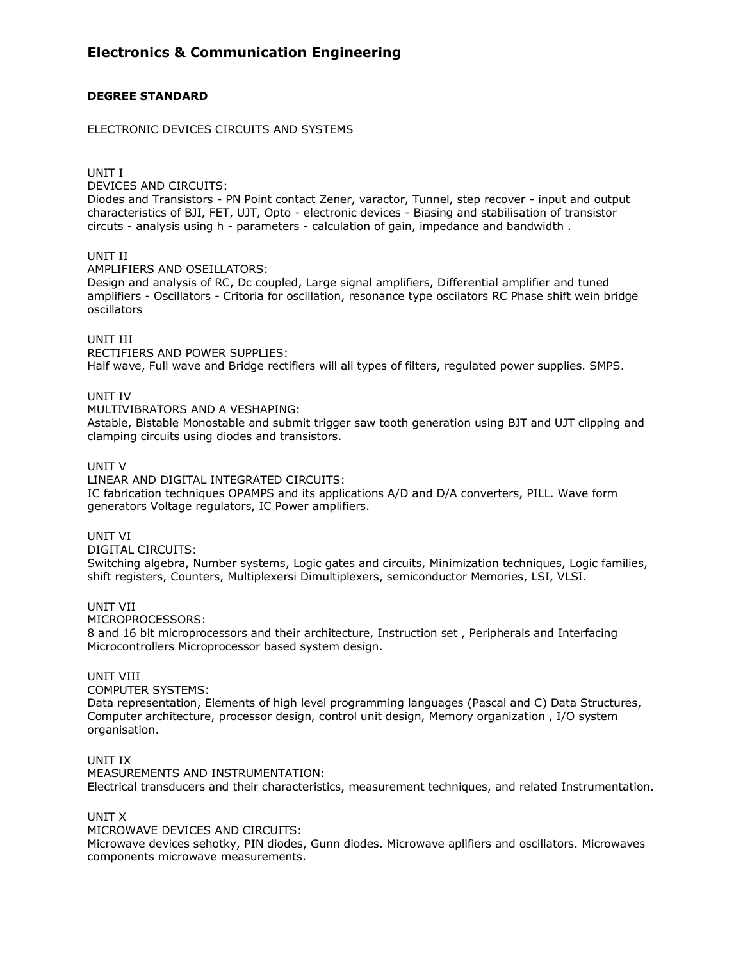# **DEGREE STANDARD**

### ELECTRONIC DEVICES CIRCUITS AND SYSTEMS

UNIT I

DEVICES AND CIRCUITS:

Diodes and Transistors - PN Point contact Zener, varactor, Tunnel, step recover - input and output characteristics of BJI, FET, UJT, Opto - electronic devices - Biasing and stabilisation of transistor circuts - analysis using h - parameters - calculation of gain, impedance and bandwidth .

# UNIT II

AMPLIFIERS AND OSEILLATORS:

Design and analysis of RC, Dc coupled, Large signal amplifiers, Differential amplifier and tuned amplifiers - Oscillators - Critoria for oscillation, resonance type oscilators RC Phase shift wein bridge oscillators

### UNIT III

RECTIFIERS AND POWER SUPPLIES: Half wave, Full wave and Bridge rectifiers will all types of filters, regulated power supplies. SMPS.

### UNIT IV

MULTIVIBRATORS AND A VESHAPING:

Astable, Bistable Monostable and submit trigger saw tooth generation using BJT and UJT clipping and clamping circuits using diodes and transistors.

#### UNIT V

LINEAR AND DIGITAL INTEGRATED CIRCUITS: IC fabrication techniques OPAMPS and its applications A/D and D/A converters, PILL. Wave form generators Voltage regulators, IC Power amplifiers.

UNIT VI

DIGITAL CIRCUITS:

Switching algebra, Number systems, Logic gates and circuits, Minimization techniques, Logic families, shift registers, Counters, Multiplexersi Dimultiplexers, semiconductor Memories, LSI, VLSI.

# UNIT VII

MICROPROCESSORS:

8 and 16 bit microprocessors and their architecture, Instruction set , Peripherals and Interfacing Microcontrollers Microprocessor based system design.

#### UNIT VIII

COMPUTER SYSTEMS:

Data representation, Elements of high level programming languages (Pascal and C) Data Structures, Computer architecture, processor design, control unit design, Memory organization , I/O system organisation.

#### UNIT IX

MEASUREMENTS AND INSTRUMENTATION: Electrical transducers and their characteristics, measurement techniques, and related Instrumentation.

#### UNIT X

MICROWAVE DEVICES AND CIRCUITS:

Microwave devices sehotky, PIN diodes, Gunn diodes. Microwave aplifiers and oscillators. Microwaves components microwave measurements.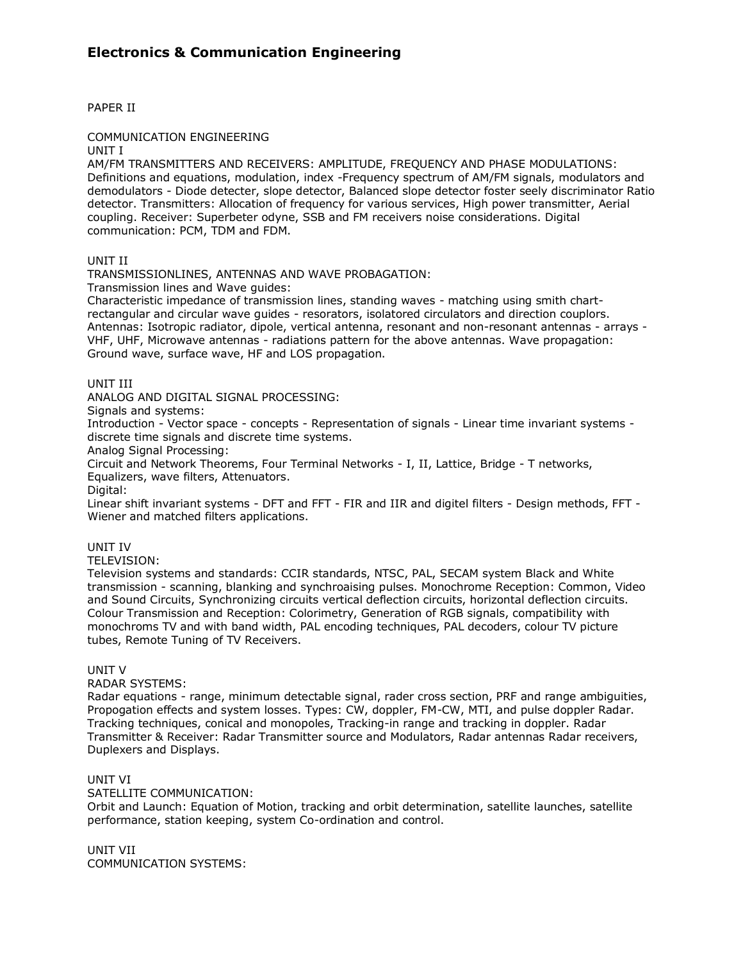PAPER II

COMMUNICATION ENGINEERING

UNIT I

AM/FM TRANSMITTERS AND RECEIVERS: AMPLITUDE, FREQUENCY AND PHASE MODULATIONS: Definitions and equations, modulation, index -Frequency spectrum of AM/FM signals, modulators and demodulators - Diode detecter, slope detector, Balanced slope detector foster seely discriminator Ratio detector. Transmitters: Allocation of frequency for various services, High power transmitter, Aerial coupling. Receiver: Superbeter odyne, SSB and FM receivers noise considerations. Digital communication: PCM, TDM and FDM.

# UNIT II

TRANSMISSIONLINES, ANTENNAS AND WAVE PROBAGATION:

Transmission lines and Wave guides:

Characteristic impedance of transmission lines, standing waves - matching using smith chartrectangular and circular wave guides - resorators, isolatored circulators and direction couplors. Antennas: Isotropic radiator, dipole, vertical antenna, resonant and non-resonant antennas - arrays - VHF, UHF, Microwave antennas - radiations pattern for the above antennas. Wave propagation: Ground wave, surface wave, HF and LOS propagation.

# UNIT III

ANALOG AND DIGITAL SIGNAL PROCESSING:

Signals and systems:

Introduction - Vector space - concepts - Representation of signals - Linear time invariant systems discrete time signals and discrete time systems.

Analog Signal Processing:

Circuit and Network Theorems, Four Terminal Networks - I, II, Lattice, Bridge - T networks, Equalizers, wave filters, Attenuators.

Digital:

Linear shift invariant systems - DFT and FFT - FIR and IIR and digitel filters - Design methods, FFT - Wiener and matched filters applications.

# UNIT IV

TELEVISION:

Television systems and standards: CCIR standards, NTSC, PAL, SECAM system Black and White transmission - scanning, blanking and synchroaising pulses. Monochrome Reception: Common, Video and Sound Circuits, Synchronizing circuits vertical deflection circuits, horizontal deflection circuits. Colour Transmission and Reception: Colorimetry, Generation of RGB signals, compatibility with monochroms TV and with band width, PAL encoding techniques, PAL decoders, colour TV picture tubes, Remote Tuning of TV Receivers.

# UNIT V

RADAR SYSTEMS:

Radar equations - range, minimum detectable signal, rader cross section, PRF and range ambiguities, Propogation effects and system losses. Types: CW, doppler, FM-CW, MTI, and pulse doppler Radar. Tracking techniques, conical and monopoles, Tracking-in range and tracking in doppler. Radar Transmitter & Receiver: Radar Transmitter source and Modulators, Radar antennas Radar receivers, Duplexers and Displays.

# UNIT VI

SATELLITE COMMUNICATION:

Orbit and Launch: Equation of Motion, tracking and orbit determination, satellite launches, satellite performance, station keeping, system Co-ordination and control.

UNIT VII COMMUNICATION SYSTEMS: